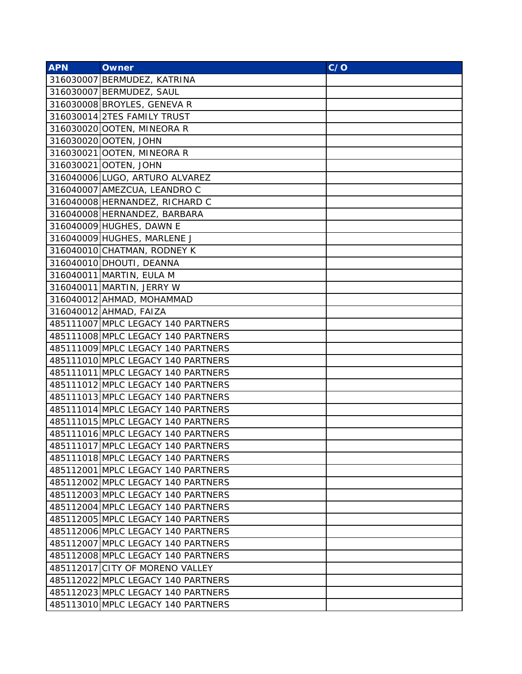| <b>APN</b> | <b>Owner</b>                       | C/O |
|------------|------------------------------------|-----|
|            | 316030007 BERMUDEZ, KATRINA        |     |
|            | 316030007 BERMUDEZ, SAUL           |     |
|            | 316030008 BROYLES, GENEVA R        |     |
|            | 316030014 2TES FAMILY TRUST        |     |
|            | 316030020 OOTEN, MINEORA R         |     |
|            | 316030020 OOTEN, JOHN              |     |
|            | 316030021 OOTEN, MINEORA R         |     |
|            | 316030021 OOTEN, JOHN              |     |
|            | 316040006 LUGO, ARTURO ALVAREZ     |     |
|            | 316040007 AMEZCUA, LEANDRO C       |     |
|            | 316040008 HERNANDEZ, RICHARD C     |     |
|            | 316040008 HERNANDEZ, BARBARA       |     |
|            | 316040009 HUGHES, DAWN E           |     |
|            | 316040009 HUGHES, MARLENE J        |     |
|            | 316040010 CHATMAN, RODNEY K        |     |
|            | 316040010 DHOUTI, DEANNA           |     |
|            | 316040011 MARTIN, EULA M           |     |
|            | 316040011 MARTIN, JERRY W          |     |
|            | 316040012 AHMAD, MOHAMMAD          |     |
|            | 316040012 AHMAD, FAIZA             |     |
|            | 485111007 MPLC LEGACY 140 PARTNERS |     |
|            | 485111008 MPLC LEGACY 140 PARTNERS |     |
|            | 485111009 MPLC LEGACY 140 PARTNERS |     |
|            | 485111010 MPLC LEGACY 140 PARTNERS |     |
|            | 485111011 MPLC LEGACY 140 PARTNERS |     |
|            | 485111012 MPLC LEGACY 140 PARTNERS |     |
|            | 485111013 MPLC LEGACY 140 PARTNERS |     |
|            | 485111014 MPLC LEGACY 140 PARTNERS |     |
|            | 485111015 MPLC LEGACY 140 PARTNERS |     |
|            | 485111016 MPLC LEGACY 140 PARTNERS |     |
|            | 485111017 MPLC LEGACY 140 PARTNERS |     |
|            | 485111018 MPLC LEGACY 140 PARTNERS |     |
|            | 485112001 MPLC LEGACY 140 PARTNERS |     |
|            | 485112002 MPLC LEGACY 140 PARTNERS |     |
|            | 485112003 MPLC LEGACY 140 PARTNERS |     |
|            | 485112004 MPLC LEGACY 140 PARTNERS |     |
|            | 485112005 MPLC LEGACY 140 PARTNERS |     |
|            | 485112006 MPLC LEGACY 140 PARTNERS |     |
|            | 485112007 MPLC LEGACY 140 PARTNERS |     |
|            | 485112008 MPLC LEGACY 140 PARTNERS |     |
|            | 485112017 CITY OF MORENO VALLEY    |     |
|            | 485112022 MPLC LEGACY 140 PARTNERS |     |
|            | 485112023 MPLC LEGACY 140 PARTNERS |     |
|            | 485113010 MPLC LEGACY 140 PARTNERS |     |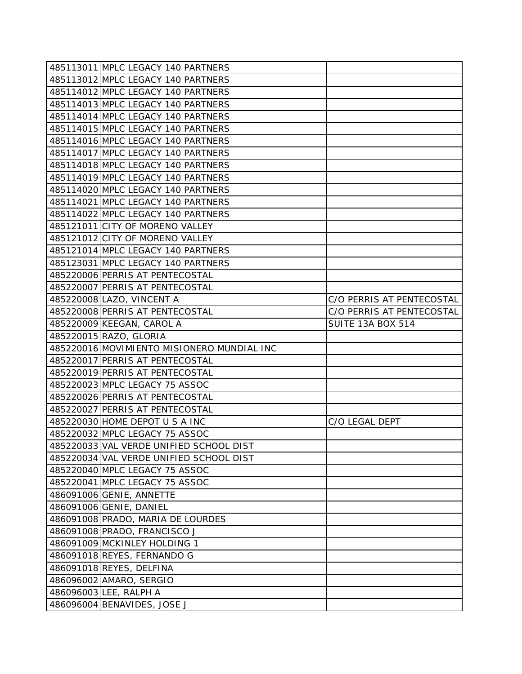| 485113011 MPLC LEGACY 140 PARTNERS         |                           |
|--------------------------------------------|---------------------------|
| 485113012 MPLC LEGACY 140 PARTNERS         |                           |
| 485114012 MPLC LEGACY 140 PARTNERS         |                           |
| 485114013 MPLC LEGACY 140 PARTNERS         |                           |
| 485114014 MPLC LEGACY 140 PARTNERS         |                           |
| 485114015 MPLC LEGACY 140 PARTNERS         |                           |
| 485114016 MPLC LEGACY 140 PARTNERS         |                           |
| 485114017 MPLC LEGACY 140 PARTNERS         |                           |
| 485114018 MPLC LEGACY 140 PARTNERS         |                           |
| 485114019 MPLC LEGACY 140 PARTNERS         |                           |
| 485114020 MPLC LEGACY 140 PARTNERS         |                           |
| 485114021 MPLC LEGACY 140 PARTNERS         |                           |
| 485114022 MPLC LEGACY 140 PARTNERS         |                           |
| 485121011 CITY OF MORENO VALLEY            |                           |
| 485121012 CITY OF MORENO VALLEY            |                           |
| 485121014 MPLC LEGACY 140 PARTNERS         |                           |
| 485123031 MPLC LEGACY 140 PARTNERS         |                           |
| 485220006 PERRIS AT PENTECOSTAL            |                           |
| 485220007 PERRIS AT PENTECOSTAL            |                           |
| 485220008 LAZO, VINCENT A                  | C/O PERRIS AT PENTECOSTAL |
| 485220008 PERRIS AT PENTECOSTAL            | C/O PERRIS AT PENTECOSTAL |
| 485220009 KEEGAN, CAROL A                  | <b>SUITE 13A BOX 514</b>  |
| 485220015 RAZO, GLORIA                     |                           |
| 485220016 MOVIMIENTO MISIONERO MUNDIAL INC |                           |
| 485220017 PERRIS AT PENTECOSTAL            |                           |
| 485220019 PERRIS AT PENTECOSTAL            |                           |
| 485220023 MPLC LEGACY 75 ASSOC             |                           |
| 485220026 PERRIS AT PENTECOSTAL            |                           |
| 485220027 PERRIS AT PENTECOSTAL            |                           |
| 485220030 HOME DEPOT U S A INC             | C/O LEGAL DEPT            |
| 485220032 MPLC LEGACY 75 ASSOC             |                           |
| 485220033 VAL VERDE UNIFIED SCHOOL DIST    |                           |
| 485220034 VAL VERDE UNIFIED SCHOOL DIST    |                           |
| 485220040 MPLC LEGACY 75 ASSOC             |                           |
| 485220041 MPLC LEGACY 75 ASSOC             |                           |
| 486091006 GENIE, ANNETTE                   |                           |
| 486091006 GENIE, DANIEL                    |                           |
| 486091008 PRADO, MARIA DE LOURDES          |                           |
| 486091008 PRADO, FRANCISCO J               |                           |
| 486091009 MCKINLEY HOLDING 1               |                           |
| 486091018 REYES, FERNANDO G                |                           |
| 486091018 REYES, DELFINA                   |                           |
| 486096002 AMARO, SERGIO                    |                           |
| 486096003 LEE, RALPH A                     |                           |
| 486096004 BENAVIDES, JOSE J                |                           |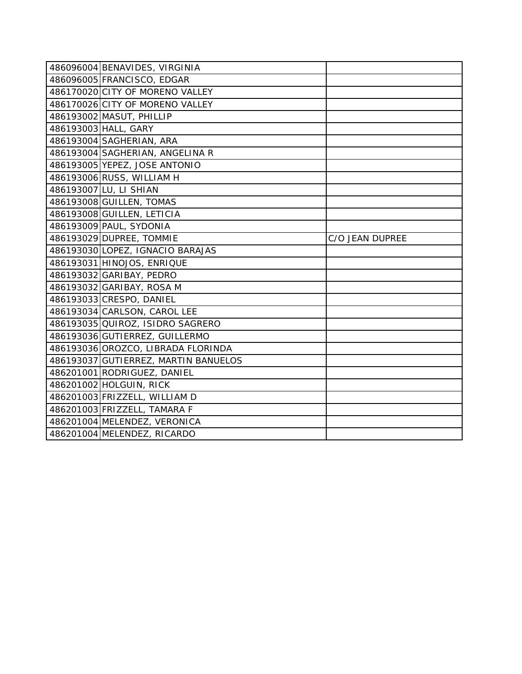| 486096004 BENAVIDES, VIRGINIA        |                 |
|--------------------------------------|-----------------|
| 486096005 FRANCISCO, EDGAR           |                 |
| 486170020 CITY OF MORENO VALLEY      |                 |
| 486170026 CITY OF MORENO VALLEY      |                 |
| 486193002 MASUT, PHILLIP             |                 |
| 486193003 HALL, GARY                 |                 |
| 486193004 SAGHERIAN, ARA             |                 |
| 486193004 SAGHERIAN, ANGELINA R      |                 |
| 486193005 YEPEZ, JOSE ANTONIO        |                 |
| 486193006 RUSS, WILLIAM H            |                 |
| 486193007 LU, LI SHIAN               |                 |
| 486193008 GUILLEN, TOMAS             |                 |
| 486193008 GUILLEN, LETICIA           |                 |
| 486193009 PAUL, SYDONIA              |                 |
| 486193029 DUPREE, TOMMIE             | C/O JEAN DUPREE |
| 486193030 LOPEZ, IGNACIO BARAJAS     |                 |
| 486193031 HINOJOS, ENRIQUE           |                 |
| 486193032 GARIBAY, PEDRO             |                 |
| 486193032 GARIBAY, ROSA M            |                 |
| 486193033 CRESPO, DANIEL             |                 |
| 486193034 CARLSON, CAROL LEE         |                 |
| 486193035 QUIROZ, ISIDRO SAGRERO     |                 |
| 486193036 GUTIERREZ, GUILLERMO       |                 |
| 486193036 OROZCO, LIBRADA FLORINDA   |                 |
| 486193037 GUTIERREZ, MARTIN BANUELOS |                 |
| 486201001 RODRIGUEZ, DANIEL          |                 |
| 486201002 HOLGUIN, RICK              |                 |
| 486201003 FRIZZELL, WILLIAM D        |                 |
| 486201003 FRIZZELL, TAMARA F         |                 |
| 486201004 MELENDEZ, VERONICA         |                 |
|                                      |                 |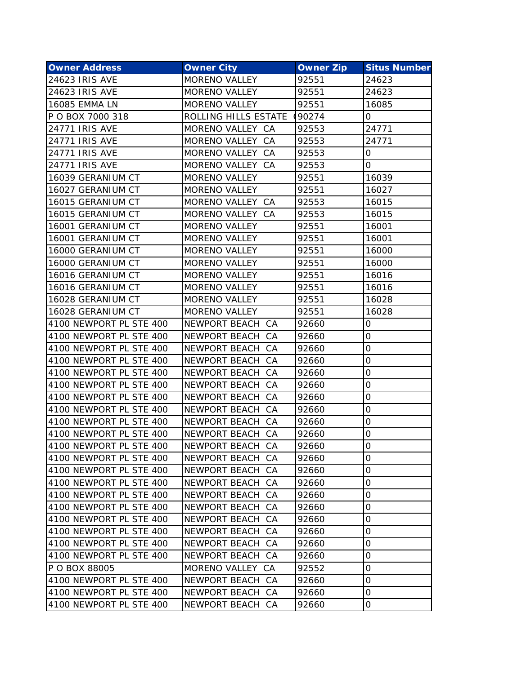| <b>Owner Address</b>    | <b>Owner City</b>    | <b>Owner Zip</b> | <b>Situs Number</b> |
|-------------------------|----------------------|------------------|---------------------|
| 24623 IRIS AVE          | MORENO VALLEY        | 92551            | 24623               |
| 24623 IRIS AVE          | <b>MORENO VALLEY</b> | 92551            | 24623               |
| <b>16085 EMMA LN</b>    | <b>MORENO VALLEY</b> | 92551            | 16085               |
| P O BOX 7000 318        | ROLLING HILLS ESTATE | (90274)          | 0                   |
| <b>24771 IRIS AVE</b>   | MORENO VALLEY CA     | 92553            | 24771               |
| <b>24771 IRIS AVE</b>   | MORENO VALLEY CA     | 92553            | 24771               |
| <b>24771 IRIS AVE</b>   | MORENO VALLEY CA     | 92553            | 0                   |
| <b>24771 IRIS AVE</b>   | MORENO VALLEY CA     | 92553            | 0                   |
| 16039 GERANIUM CT       | <b>MORENO VALLEY</b> | 92551            | 16039               |
| 16027 GERANIUM CT       | MORENO VALLEY        | 92551            | 16027               |
| 16015 GERANIUM CT       | MORENO VALLEY CA     | 92553            | 16015               |
| 16015 GERANIUM CT       | MORENO VALLEY CA     | 92553            | 16015               |
| 16001 GERANIUM CT       | <b>MORENO VALLEY</b> | 92551            | 16001               |
| 16001 GERANIUM CT       | <b>MORENO VALLEY</b> | 92551            | 16001               |
| 16000 GERANIUM CT       | <b>MORENO VALLEY</b> | 92551            | 16000               |
| 16000 GERANIUM CT       | <b>MORENO VALLEY</b> | 92551            | 16000               |
| 16016 GERANIUM CT       | <b>MORENO VALLEY</b> | 92551            | 16016               |
| 16016 GERANIUM CT       | <b>MORENO VALLEY</b> | 92551            | 16016               |
| 16028 GERANIUM CT       | <b>MORENO VALLEY</b> | 92551            | 16028               |
| 16028 GERANIUM CT       | <b>MORENO VALLEY</b> | 92551            | 16028               |
| 4100 NEWPORT PL STE 400 | NEWPORT BEACH CA     | 92660            | 0                   |
| 4100 NEWPORT PL STE 400 | NEWPORT BEACH CA     | 92660            | 0                   |
| 4100 NEWPORT PL STE 400 | NEWPORT BEACH CA     | 92660            | $\overline{O}$      |
| 4100 NEWPORT PL STE 400 | NEWPORT BEACH CA     | 92660            | 0                   |
| 4100 NEWPORT PL STE 400 | NEWPORT BEACH CA     | 92660            | $\mathbf 0$         |
| 4100 NEWPORT PL STE 400 | NEWPORT BEACH CA     | 92660            | 0                   |
| 4100 NEWPORT PL STE 400 | NEWPORT BEACH CA     | 92660            | 0                   |
| 4100 NEWPORT PL STE 400 | NEWPORT BEACH CA     | 92660            | $\overline{O}$      |
| 4100 NEWPORT PL STE 400 | NEWPORT BEACH CA     | 92660            | 0                   |
| 4100 NEWPORT PL STE 400 | NEWPORT BEACH CA     | 92660            | $\overline{O}$      |
| 4100 NEWPORT PL STE 400 | NEWPORT BEACH CA     | 92660            | Ő                   |
| 4100 NEWPORT PL STE 400 | NEWPORT BEACH CA     | 92660            | 0                   |
| 4100 NEWPORT PL STE 400 | NEWPORT BEACH CA     | 92660            | $\overline{O}$      |
| 4100 NEWPORT PL STE 400 | NEWPORT BEACH CA     | 92660            | 0                   |
| 4100 NEWPORT PL STE 400 | NEWPORT BEACH CA     | 92660            | $\mathbf 0$         |
| 4100 NEWPORT PL STE 400 | NEWPORT BEACH CA     | 92660            | $\mathbf 0$         |
| 4100 NEWPORT PL STE 400 | NEWPORT BEACH CA     | 92660            | 0                   |
| 4100 NEWPORT PL STE 400 | NEWPORT BEACH CA     | 92660            | $\overline{O}$      |
| 4100 NEWPORT PL STE 400 | NEWPORT BEACH CA     | 92660            | 0                   |
| 4100 NEWPORT PL STE 400 | NEWPORT BEACH CA     | 92660            | 0                   |
| P O BOX 88005           | MORENO VALLEY CA     | 92552            | 0                   |
| 4100 NEWPORT PL STE 400 | NEWPORT BEACH CA     | 92660            | 0                   |
| 4100 NEWPORT PL STE 400 | NEWPORT BEACH CA     | 92660            | $\mathsf{O}\xspace$ |
| 4100 NEWPORT PL STE 400 | NEWPORT BEACH CA     | 92660            | $\mathsf{O}\xspace$ |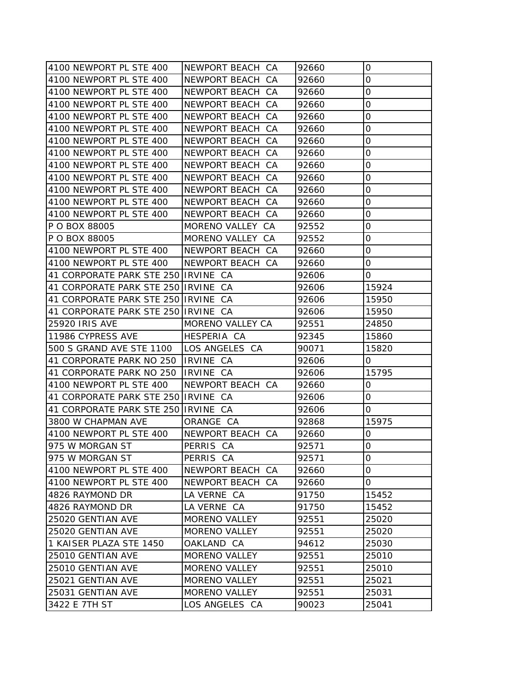| 4100 NEWPORT PL STE 400             | NEWPORT BEACH CA     | 92660 | 0                   |
|-------------------------------------|----------------------|-------|---------------------|
| 4100 NEWPORT PL STE 400             | NEWPORT BEACH CA     | 92660 | 0                   |
| 4100 NEWPORT PL STE 400             | NEWPORT BEACH CA     | 92660 | $\mathbf 0$         |
| 4100 NEWPORT PL STE 400             | NEWPORT BEACH CA     | 92660 | 0                   |
| 4100 NEWPORT PL STE 400             | NEWPORT BEACH CA     | 92660 | $\mathsf{O}\xspace$ |
| 4100 NEWPORT PL STE 400             | NEWPORT BEACH CA     | 92660 | 0                   |
| 4100 NEWPORT PL STE 400             | NEWPORT BEACH CA     | 92660 | 0                   |
| 4100 NEWPORT PL STE 400             | NEWPORT BEACH CA     | 92660 | $\mathsf{O}\xspace$ |
| 4100 NEWPORT PL STE 400             | NEWPORT BEACH CA     | 92660 | 0                   |
| 4100 NEWPORT PL STE 400             | NEWPORT BEACH CA     | 92660 | $\mathsf{O}\xspace$ |
| 4100 NEWPORT PL STE 400             | NEWPORT BEACH CA     | 92660 | 0                   |
| 4100 NEWPORT PL STE 400             | NEWPORT BEACH CA     | 92660 | 0                   |
| 4100 NEWPORT PL STE 400             | NEWPORT BEACH CA     | 92660 | $\mathsf{O}\xspace$ |
| P O BOX 88005                       | MORENO VALLEY CA     | 92552 | $\mathsf{O}\xspace$ |
| P O BOX 88005                       | MORENO VALLEY CA     | 92552 | 0                   |
| 4100 NEWPORT PL STE 400             | NEWPORT BEACH CA     | 92660 | $\mathsf{O}\xspace$ |
| 4100 NEWPORT PL STE 400             | NEWPORT BEACH CA     | 92660 | 0                   |
| 41 CORPORATE PARK STE 250 IRVINE CA |                      | 92606 | 0                   |
| 41 CORPORATE PARK STE 250 IRVINE CA |                      | 92606 | 15924               |
| 41 CORPORATE PARK STE 250 IRVINE CA |                      | 92606 | 15950               |
| 41 CORPORATE PARK STE 250 IRVINE CA |                      | 92606 | 15950               |
| <b>25920 IRIS AVE</b>               | MORENO VALLEY CA     | 92551 | 24850               |
| 11986 CYPRESS AVE                   | HESPERIA CA          | 92345 | 15860               |
| 500 S GRAND AVE STE 1100            | LOS ANGELES CA       | 90071 | 15820               |
| 41 CORPORATE PARK NO 250            | <b>IRVINE CA</b>     | 92606 | 0                   |
| 41 CORPORATE PARK NO 250 IRVINE CA  |                      | 92606 | 15795               |
| 4100 NEWPORT PL STE 400             | NEWPORT BEACH CA     | 92660 | 0                   |
| 41 CORPORATE PARK STE 250 IRVINE CA |                      | 92606 | 0                   |
| 41 CORPORATE PARK STE 250 IRVINE CA |                      | 92606 | 0                   |
| 3800 W CHAPMAN AVE                  | ORANGE CA            | 92868 | 15975               |
| 4100 NEWPORT PL STE 400             | NEWPORT BEACH CA     | 92660 | 0                   |
| 975 W MORGAN ST                     | PERRIS CA            | 92571 | 0                   |
| 975 W MORGAN ST                     | PERRIS CA            | 92571 | 0                   |
| 4100 NEWPORT PL STE 400             | NEWPORT BEACH CA     | 92660 | 0                   |
| 4100 NEWPORT PL STE 400             | NEWPORT BEACH CA     | 92660 | 0                   |
| 4826 RAYMOND DR                     | LA VERNE CA          | 91750 | 15452               |
| 4826 RAYMOND DR                     | LA VERNE CA          | 91750 | 15452               |
| 25020 GENTIAN AVE                   | MORENO VALLEY        | 92551 | 25020               |
| 25020 GENTIAN AVE                   | <b>MORENO VALLEY</b> | 92551 | 25020               |
| 1 KAISER PLAZA STE 1450             | OAKLAND CA           | 94612 | 25030               |
| 25010 GENTIAN AVE                   | <b>MORENO VALLEY</b> | 92551 | 25010               |
| 25010 GENTIAN AVE                   | <b>MORENO VALLEY</b> | 92551 | 25010               |
| 25021 GENTIAN AVE                   | MORENO VALLEY        | 92551 | 25021               |
| 25031 GENTIAN AVE                   | <b>MORENO VALLEY</b> | 92551 | 25031               |
| 3422 E 7TH ST                       | LOS ANGELES CA       | 90023 | 25041               |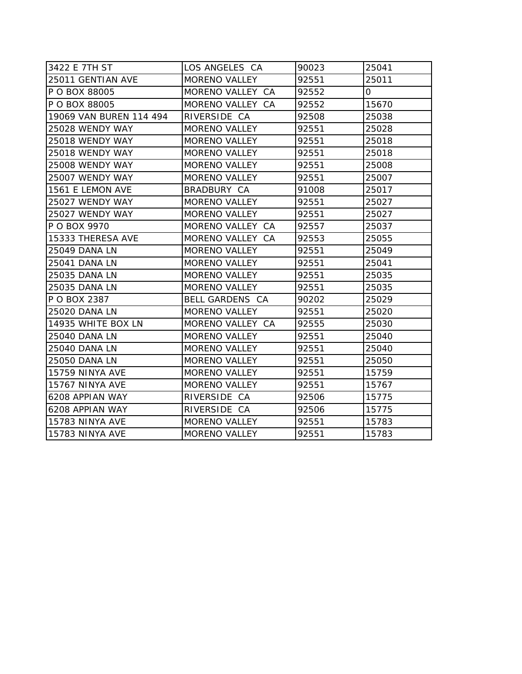| 3422 E 7TH ST           | LOS ANGELES CA         | 90023 | 25041 |
|-------------------------|------------------------|-------|-------|
| 25011 GENTIAN AVE       | MORENO VALLEY          | 92551 | 25011 |
| P O BOX 88005           | MORENO VALLEY CA       | 92552 | 0     |
| P O BOX 88005           | MORENO VALLEY CA       | 92552 | 15670 |
| 19069 VAN BUREN 114 494 | RIVERSIDE CA           | 92508 | 25038 |
| 25028 WENDY WAY         | <b>MORENO VALLEY</b>   | 92551 | 25028 |
| 25018 WENDY WAY         | <b>MORENO VALLEY</b>   | 92551 | 25018 |
| 25018 WENDY WAY         | <b>MORENO VALLEY</b>   | 92551 | 25018 |
| 25008 WENDY WAY         | <b>MORENO VALLEY</b>   | 92551 | 25008 |
| 25007 WENDY WAY         | <b>MORENO VALLEY</b>   | 92551 | 25007 |
| 1561 E LEMON AVE        | BRADBURY CA            | 91008 | 25017 |
| 25027 WENDY WAY         | <b>MORENO VALLEY</b>   | 92551 | 25027 |
| 25027 WENDY WAY         | <b>MORENO VALLEY</b>   | 92551 | 25027 |
| P O BOX 9970            | MORENO VALLEY CA       | 92557 | 25037 |
| 15333 THERESA AVE       | MORENO VALLEY CA       | 92553 | 25055 |
| <b>25049 DANA LN</b>    | MORENO VALLEY          | 92551 | 25049 |
| 25041 DANA LN           | <b>MORENO VALLEY</b>   | 92551 | 25041 |
| 25035 DANA LN           | <b>MORENO VALLEY</b>   | 92551 | 25035 |
| 25035 DANA LN           | <b>MORENO VALLEY</b>   | 92551 | 25035 |
| <b>P O BOX 2387</b>     | <b>BELL GARDENS CA</b> | 90202 | 25029 |
| 25020 DANA LN           | MORENO VALLEY          | 92551 | 25020 |
| 14935 WHITE BOX LN      | MORENO VALLEY CA       | 92555 | 25030 |
| <b>25040 DANA LN</b>    | <b>MORENO VALLEY</b>   | 92551 | 25040 |
| <b>25040 DANA LN</b>    | <b>MORENO VALLEY</b>   | 92551 | 25040 |
| <b>25050 DANA LN</b>    | <b>MORENO VALLEY</b>   | 92551 | 25050 |
| <b>15759 NINYA AVE</b>  | <b>MORENO VALLEY</b>   | 92551 | 15759 |
| 15767 NINYA AVE         | <b>MORENO VALLEY</b>   | 92551 | 15767 |
| 6208 APPIAN WAY         | RIVERSIDE CA           | 92506 | 15775 |
| 6208 APPIAN WAY         | RIVERSIDE CA           | 92506 | 15775 |
| 15783 NINYA AVE         | MORENO VALLEY          | 92551 | 15783 |
| 15783 NINYA AVE         | <b>MORENO VALLEY</b>   | 92551 | 15783 |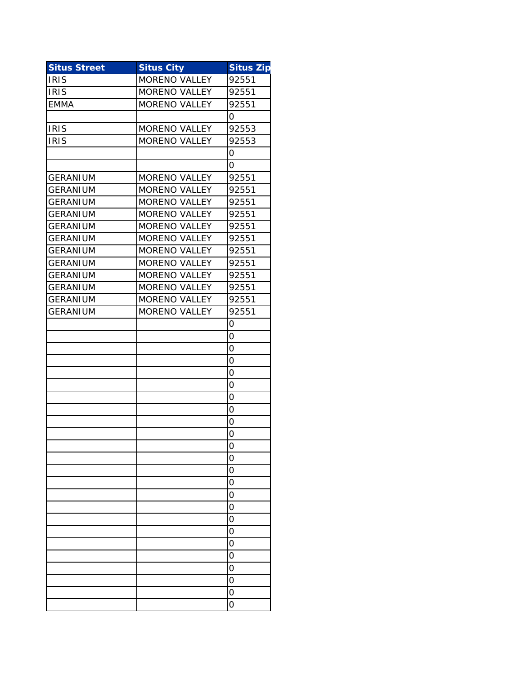| <b>Situs Street</b> | <b>Situs City</b>    | <b>Situs Zip</b> |
|---------------------|----------------------|------------------|
| <b>IRIS</b>         | <b>MORENO VALLEY</b> | 92551            |
| <b>IRIS</b>         | <b>MORENO VALLEY</b> | 92551            |
| <b>EMMA</b>         | <b>MORENO VALLEY</b> | 92551            |
|                     |                      | 0                |
| <b>IRIS</b>         | <b>MORENO VALLEY</b> | 92553            |
| <b>IRIS</b>         | <b>MORENO VALLEY</b> | 92553            |
|                     |                      | 0                |
|                     |                      | 0                |
| <b>GERANIUM</b>     | <b>MORENO VALLEY</b> | 92551            |
| GERANIUM            | <b>MORENO VALLEY</b> | 92551            |
| <b>GERANIUM</b>     | <b>MORENO VALLEY</b> | 92551            |
| <b>GERANIUM</b>     | <b>MORENO VALLEY</b> | 92551            |
| <b>GERANIUM</b>     | <b>MORENO VALLEY</b> | 92551            |
| <b>GERANIUM</b>     | <b>MORENO VALLEY</b> | 92551            |
| <b>GERANIUM</b>     | <b>MORENO VALLEY</b> | 92551            |
| <b>GERANIUM</b>     | <b>MORENO VALLEY</b> | 92551            |
| <b>GERANIUM</b>     | <b>MORENO VALLEY</b> | 92551            |
| <b>GERANIUM</b>     | <b>MORENO VALLEY</b> | 92551            |
| <b>GERANIUM</b>     | <b>MORENO VALLEY</b> | 92551            |
| <b>GERANIUM</b>     | <b>MORENO VALLEY</b> | 92551            |
|                     |                      | 0                |
|                     |                      | 0                |
|                     |                      | 0                |
|                     |                      | 0                |
|                     |                      | 0                |
|                     |                      | 0                |
|                     |                      | 0                |
|                     |                      | 0                |
|                     |                      | 0                |
|                     |                      | 0                |
|                     |                      | 0                |
|                     |                      | O                |
|                     |                      | O                |
|                     |                      | O                |
|                     |                      | 0                |
|                     |                      | 0                |
|                     |                      | O                |
|                     |                      | O                |
|                     |                      | 0                |
|                     |                      | O                |
|                     |                      | O                |
|                     |                      | 0                |
|                     |                      | 0                |
|                     |                      | 0                |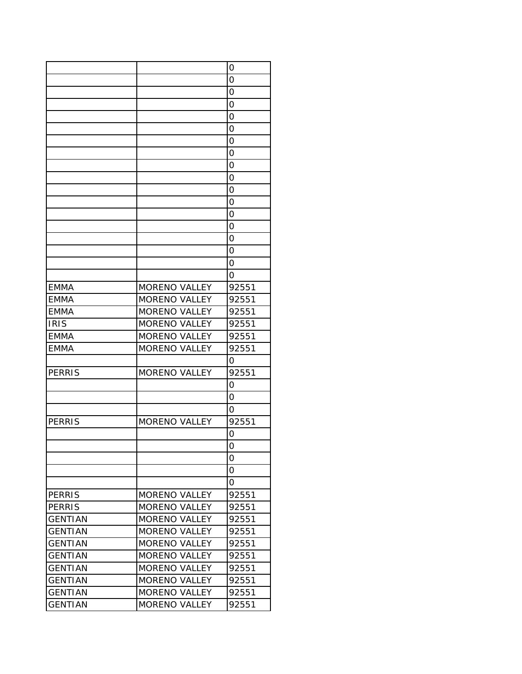|                |                      | 0     |
|----------------|----------------------|-------|
|                |                      | 0     |
|                |                      | 0     |
|                |                      | 0     |
|                |                      | 0     |
|                |                      | 0     |
|                |                      | 0     |
|                |                      | 0     |
|                |                      | 0     |
|                |                      | 0     |
|                |                      | 0     |
|                |                      | 0     |
|                |                      | 0     |
|                |                      | 0     |
|                |                      | 0     |
|                |                      | 0     |
|                |                      | O     |
|                |                      | 0     |
| <b>EMMA</b>    | <b>MORENO VALLEY</b> | 92551 |
| <b>EMMA</b>    | <b>MORENO VALLEY</b> | 92551 |
| <b>EMMA</b>    | <b>MORENO VALLEY</b> | 92551 |
| <b>IRIS</b>    | <b>MORENO VALLEY</b> | 92551 |
| <b>EMMA</b>    | <b>MORENO VALLEY</b> | 92551 |
| <b>EMMA</b>    | <b>MORENO VALLEY</b> | 92551 |
|                |                      | O     |
| <b>PERRIS</b>  | MORENO VALLEY        | 92551 |
|                |                      | 0     |
|                |                      | O     |
|                |                      |       |
|                |                      | Ο     |
| <b>PERRIS</b>  | MORENO VALLEY        | 92551 |
|                |                      | 0     |
|                |                      | 0     |
|                |                      | 0     |
|                |                      | 0     |
|                |                      | O     |
| PERRIS         | <b>MORENO VALLEY</b> | 92551 |
| <b>PERRIS</b>  | <b>MORENO VALLEY</b> | 92551 |
| <b>GENTIAN</b> | <b>MORENO VALLEY</b> | 92551 |
| <b>GENTIAN</b> | <b>MORENO VALLEY</b> | 92551 |
| <b>GENTIAN</b> | <b>MORENO VALLEY</b> | 92551 |
| <b>GENTIAN</b> | <b>MORENO VALLEY</b> | 92551 |
| <b>GENTIAN</b> | <b>MORENO VALLEY</b> | 92551 |
| <b>GENTIAN</b> | <b>MORENO VALLEY</b> | 92551 |
| <b>GENTIAN</b> | <b>MORENO VALLEY</b> | 92551 |
| <b>GENTIAN</b> | <b>MORENO VALLEY</b> | 92551 |
|                |                      |       |